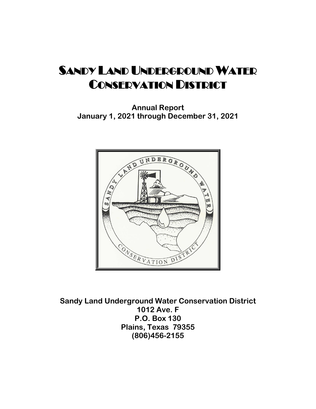**Annual Report January 1, 2021 through December 31, 2021**



**Sandy Land Underground Water Conservation District 1012 Ave. F P.O. Box 130 Plains, Texas 79355 (806)456-2155**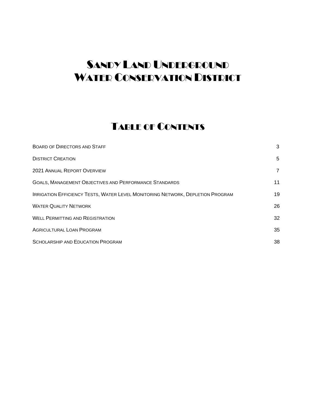## TABLE OF CONTENTS

| <b>BOARD OF DIRECTORS AND STAFF</b>                                                   | 3              |
|---------------------------------------------------------------------------------------|----------------|
| <b>DISTRICT CREATION</b>                                                              | 5              |
| <b>2021 ANNUAL REPORT OVERVIEW</b>                                                    | $\overline{7}$ |
| <b>GOALS, MANAGEMENT OBJECTIVES AND PERFORMANCE STANDARDS</b>                         | 11             |
| <b>IRRIGATION EFFICIENCY TESTS, WATER LEVEL MONITORING NETWORK, DEPLETION PROGRAM</b> | 19             |
| <b>WATER QUALITY NETWORK</b>                                                          | 26             |
| <b>WELL PERMITTING AND REGISTRATION</b>                                               | 32             |
| <b>AGRICULTURAL LOAN PROGRAM</b>                                                      | 35             |
| <b>SCHOLARSHIP AND EDUCATION PROGRAM</b>                                              | 38             |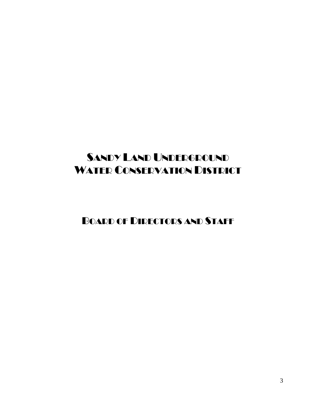BOARD OF DIRECTORS AND STAFF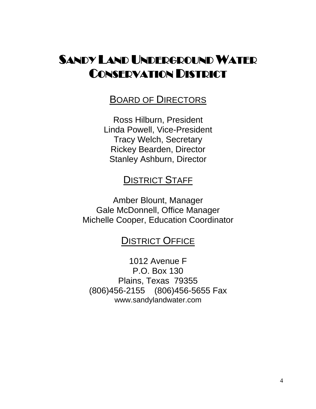## BOARD OF DIRECTORS

Ross Hilburn, President Linda Powell, Vice-President Tracy Welch, Secretary Rickey Bearden, Director Stanley Ashburn, Director

## **DISTRICT STAFF**

Amber Blount, Manager Gale McDonnell, Office Manager Michelle Cooper, Education Coordinator

## **DISTRICT OFFICE**

1012 Avenue F P.O. Box 130 Plains, Texas 79355 (806)456-2155 (806)456-5655 Fax www.sandylandwater.com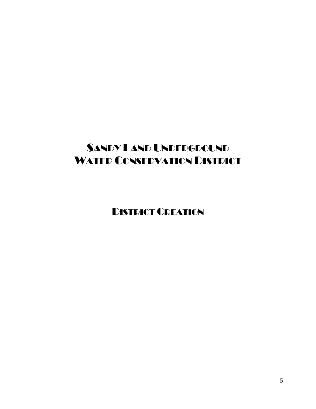DISTRICT CREATION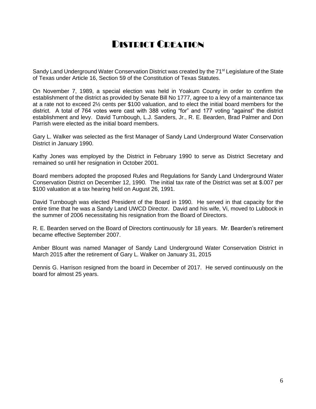## DISTRICT CREATION

Sandy Land Underground Water Conservation District was created by the 71<sup>st</sup> Legislature of the State of Texas under Article 16, Section 59 of the Constitution of Texas Statutes.

On November 7, 1989, a special election was held in Yoakum County in order to confirm the establishment of the district as provided by Senate Bill No 1777, agree to a levy of a maintenance tax at a rate not to exceed 2½ cents per \$100 valuation, and to elect the initial board members for the district. A total of 764 votes were cast with 388 voting "for" and 177 voting "against" the district establishment and levy. David Turnbough, L.J. Sanders, Jr., R. E. Bearden, Brad Palmer and Don Parrish were elected as the initial board members.

Gary L. Walker was selected as the first Manager of Sandy Land Underground Water Conservation District in January 1990.

Kathy Jones was employed by the District in February 1990 to serve as District Secretary and remained so until her resignation in October 2001.

Board members adopted the proposed Rules and Regulations for Sandy Land Underground Water Conservation District on December 12, 1990. The initial tax rate of the District was set at \$.007 per \$100 valuation at a tax hearing held on August 26, 1991.

David Turnbough was elected President of the Board in 1990. He served in that capacity for the entire time that he was a Sandy Land UWCD Director. David and his wife, Vi, moved to Lubbock in the summer of 2006 necessitating his resignation from the Board of Directors.

R. E. Bearden served on the Board of Directors continuously for 18 years. Mr. Bearden's retirement became effective September 2007.

Amber Blount was named Manager of Sandy Land Underground Water Conservation District in March 2015 after the retirement of Gary L. Walker on January 31, 2015

Dennis G. Harrison resigned from the board in December of 2017. He served continuously on the board for almost 25 years.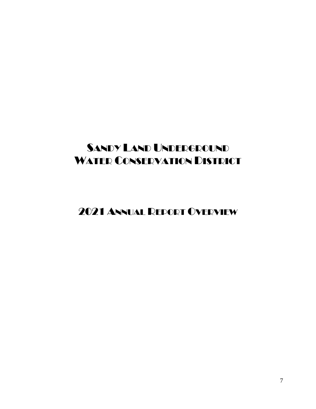2021 ANNUAL REPORT OVERVIEW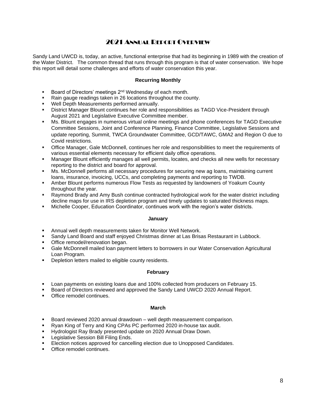### 2021 ANNUAL REPORT OVERVIEW

Sandy Land UWCD is, today, an active, functional enterprise that had its beginning in 1989 with the creation of the Water District. The common thread that runs through this program is that of water conservation. We hope this report will detail some challenges and efforts of water conservation this year.

#### **Recurring Monthly**

- Board of Directors' meetings 2<sup>nd</sup> Wednesday of each month.
- Rain gauge readings taken in 26 locations throughout the county.
- Well Depth Measurements performed annually.
- District Manager Blount continues her role and responsibilities as TAGD Vice-President through August 2021 and Legislative Executive Committee member.
- **■** Ms. Blount engages in numerous virtual online meetings and phone conferences for TAGD Executive Committee Sessions, Joint and Conference Planning, Finance Committee, Legislative Sessions and update reporting, Summit, TWCA Groundwater Committee, GCD/TAWC, GMA2 and Region O due to Covid restrictions.
- Office Manager, Gale McDonnell, continues her role and responsibilities to meet the requirements of various essential elements necessary for efficient daily office operations.
- Manager Blount efficiently manages all well permits, locates, and checks all new wells for necessary reporting to the district and board for approval.
- Ms. McDonnell performs all necessary procedures for securing new ag loans, maintaining current loans, insurance, invoicing, UCCs, and completing payments and reporting to TWDB.
- Amber Blount performs numerous Flow Tests as requested by landowners of Yoakum County throughout the year.
- Raymond Brady and Amy Bush continue contracted hydrological work for the water district including decline maps for use in IRS depletion program and timely updates to saturated thickness maps.
- Michelle Cooper, Education Coordinator, continues work with the region's water districts.

#### **January**

- Annual well depth measurements taken for Monitor Well Network.
- Sandy Land Board and staff enjoyed Christmas dinner at Las Brisas Restaurant in Lubbock.
- Office remodel/renovation began.
- Gale McDonnell mailed loan payment letters to borrowers in our Water Conservation Agricultural Loan Program.
- Depletion letters mailed to eligible county residents.

#### **February**

- Loan payments on existing loans due and 100% collected from producers on February 15.
- Board of Directors reviewed and approved the Sandy Land UWCD 2020 Annual Report.
- Office remodel continues.

#### **March**

- Board reviewed 2020 annual drawdown well depth measurement comparison.
- Ryan King of Terry and King CPAs PC performed 2020 in-house tax audit.
- Hydrologist Ray Brady presented update on 2020 Annual Draw Down.
- Legislative Session Bill Filing Ends.
- Election notices approved for cancelling election due to Unopposed Candidates.
- Office remodel continues.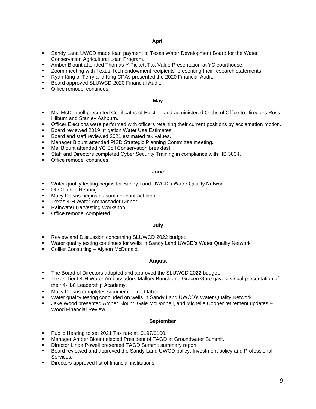#### **April**

- Sandy Land UWCD made loan payment to Texas Water Development Board for the Water Conservation Agricultural Loan Program.
- Amber Blount attended Thomas Y Pickett Tax Value Presentation at YC courthouse.
- Zoom meeting with Texas Tech endowment recipients' presenting their research statements.
- Ryan King of Terry and King CPAs presented the 2020 Financial Audit.
- Board approved SLUWCD 2020 Financial Audit.
- Office remodel continues.

#### **May**

- **Ms. McDonnell presented Certificates of Election and administered Oaths of Office to Directors Ross** Hilburn and Stanley Ashburn.
- Officer Elections were performed with officers retaining their current positions by acclamation motion.
- Board reviewed 2019 Irrigation Water Use Estimates.
- Board and staff reviewed 2021 estimated tax values.
- Manager Blount attended PISD Strategic Planning Committee meeting.
- Ms. Blount attended YC Soil Conservation breakfast.
- Staff and Directors completed Cyber Security Training in compliance with HB 3834.
- Office remodel continues.

#### **June**

- **■** Water quality testing begins for Sandy Land UWCD's Water Quality Network.
- DFC Public Hearing.
- Macy Downs begins as summer contract labor.
- **EXALLER 19 Texas 4-H Water Ambassador Dinner.**
- Rainwater Harvesting Workshop.
- Office remodel completed.

#### **July**

- Review and Discussion concerning SLUWCD 2022 budget.
- Water quality testing continues for wells in Sandy Land UWCD's Water Quality Network.
- Collier Consulting Alyson McDonald.

#### **August**

- The Board of Directors adopted and approved the SLUWCD 2022 budget.
- Texas Tier I 4-H Water Ambassadors Mallory Bunch and Gracen Gore gave a visual presentation of their 4-H20 Leadership Academy.
- Macy Downs completes summer contract labor.
- Water quality testing concluded on wells in Sandy Land UWCD's Water Quality Network.
- Jake Wood presented Amber Blount, Gale McDonnell, and Michelle Cooper retirement updates -Wood Financial Review.

#### **September**

- Public Hearing to set 2021 Tax rate at .0197/\$100.
- Manager Amber Blount elected President of TAGD at Groundwater Summit.
- Director Linda Powell presented TAGD Summit summary report.
- Board reviewed and approved the Sandy Land UWCD policy, Investment policy and Professional Services.
- Directors approved list of financial institutions.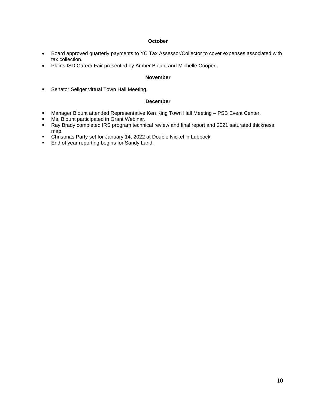#### **October**

- Board approved quarterly payments to YC Tax Assessor/Collector to cover expenses associated with tax collection.
- Plains ISD Career Fair presented by Amber Blount and Michelle Cooper.

#### **November**

**EXE** Senator Seliger virtual Town Hall Meeting.

#### **December**

- **■** Manager Blount attended Representative Ken King Town Hall Meeting PSB Event Center.
- **■** Ms. Blount participated in Grant Webinar.
- Ray Brady completed IRS program technical review and final report and 2021 saturated thickness map.
- Christmas Party set for January 14, 2022 at Double Nickel in Lubbock.
- End of year reporting begins for Sandy Land.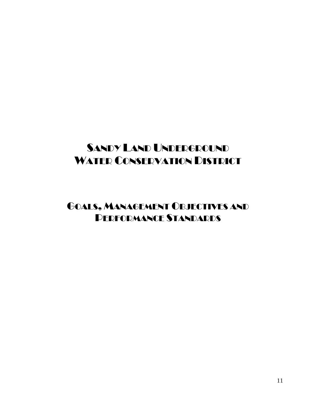## GOALS, MANAGEMENT OBJECTIVES AND PERFORMANCE STANDARDS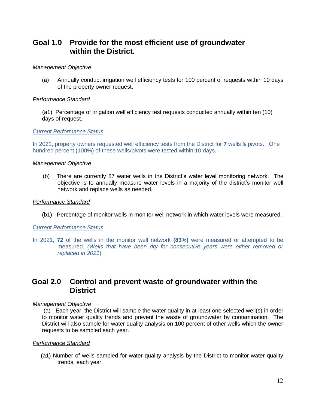## **Goal 1.0 Provide for the most efficient use of groundwater within the District.**

#### *Management Objective*

(a) Annually conduct irrigation well efficiency tests for 100 percent of requests within 10 days of the property owner request.

#### *Performance Standard*

 (a1) Percentage of irrigation well efficiency test requests conducted annually within ten (10) days of request.

#### *Current Performance Status*

In 2021, property owners requested well efficiency tests from the District for **7** wells & pivots. One hundred percent (100%) of these wells/pivots were tested within 10 days.

#### *Management Objective*

(b) There are currently 87 water wells in the District's water level monitoring network. The objective is to annually measure water levels in a majority of the district's monitor well network and replace wells as needed.

#### *Performance Standard*

(b1) Percentage of monitor wells in monitor well network in which water levels were measured.

#### *Current Performance Status*

In 2021, **72** of the wells in the monitor well network **(83%)** were measured or attempted to be measured. *(Wells that have been dry for consecutive years were either removed or replaced in 2021*)

## **Goal 2.0 Control and prevent waste of groundwater within the District**

#### *Management Objective*

(a) Each year, the District will sample the water quality in at least one selected well(s) in order to monitor water quality trends and prevent the waste of groundwater by contamination. The District will also sample for water quality analysis on 100 percent of other wells which the owner requests to be sampled each year.

#### *Performance Standard*

 (a1) Number of wells sampled for water quality analysis by the District to monitor water quality trends, each year.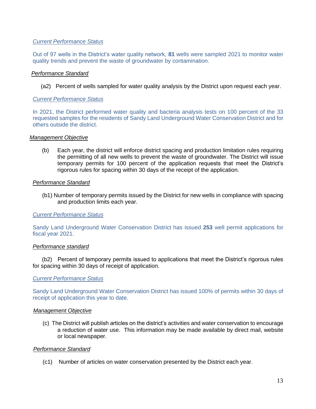#### *Current Performance Status*

Out of 97 wells in the District's water quality network, **81** wells were sampled 2021 to monitor water quality trends and prevent the waste of groundwater by contamination.

#### *Performance Standard*

(a2) Percent of wells sampled for water quality analysis by the District upon request each year.

#### *Current Performance Status*

In 2021, the District performed water quality and bacteria analysis tests on 100 percent of the 33 requested samples for the residents of Sandy Land Underground Water Conservation District and for others outside the district.

#### *Management Objective*

(b) Each year, the district will enforce district spacing and production limitation rules requiring the permitting of all new wells to prevent the waste of groundwater. The District will issue temporary permits for 100 percent of the application requests that meet the District's rigorous rules for spacing within 30 days of the receipt of the application.

#### *Performance Standard*

 (b1) Number of temporary permits issued by the District for new wells in compliance with spacing and production limits each year.

#### *Current Performance Status*

Sandy Land Underground Water Conservation District has issued **253** well permit applications for fiscal year 2021.

#### *Performance standard*

(b2) Percent of temporary permits issued to applications that meet the District's rigorous rules for spacing within 30 days of receipt of application.

#### *Current Performance Status*

Sandy Land Underground Water Conservation District has issued 100% of permits within 30 days of receipt of application this year to date.

#### *Management Objective*

 (c) The District will publish articles on the district's activities and water conservation to encourage a reduction of water use. This information may be made available by direct mail, website or local newspaper.

#### *Performance Standard*

(c1) Number of articles on water conservation presented by the District each year.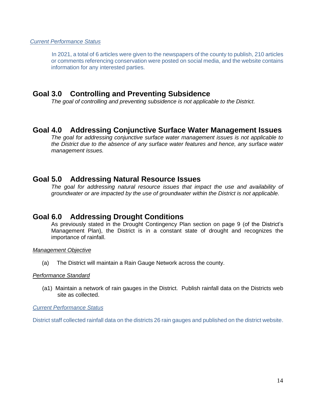#### *Current Performance Status*

 In 2021, a total of 6 articles were given to the newspapers of the county to publish, 210 articles or comments referencing conservation were posted on social media, and the website contains information for any interested parties.

### **Goal 3.0 Controlling and Preventing Subsidence**

*The goal of controlling and preventing subsidence is not applicable to the District.*

### **Goal 4.0 Addressing Conjunctive Surface Water Management Issues**

*The goal for addressing conjunctive surface water management issues is not applicable to the District due to the absence of any surface water features and hence, any surface water management issues.*

### **Goal 5.0 Addressing Natural Resource Issues**

*The goal for addressing natural resource issues that impact the use and availability of groundwater or are impacted by the use of groundwater within the District is not applicable.*

### **Goal 6.0 Addressing Drought Conditions**

As previously stated in the Drought Contingency Plan section on page 9 (of the District's Management Plan), the District is in a constant state of drought and recognizes the importance of rainfall.

#### *Management Objective*

(a) The District will maintain a Rain Gauge Network across the county.

#### *Performance Standard*

 (a1) Maintain a network of rain gauges in the District. Publish rainfall data on the Districts web site as collected.

*Current Performance Status*

District staff collected rainfall data on the districts 26 rain gauges and published on the district website.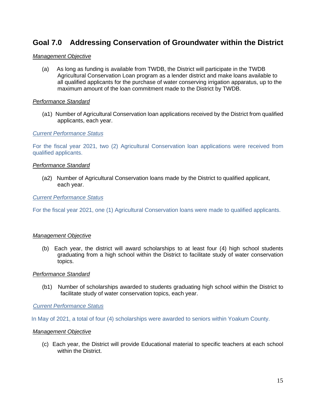## **Goal 7.0 Addressing Conservation of Groundwater within the District**

#### *Management Objective*

(a) As long as funding is available from TWDB, the District will participate in the TWDB Agricultural Conservation Loan program as a lender district and make loans available to all qualified applicants for the purchase of water conserving irrigation apparatus, up to the maximum amount of the loan commitment made to the District by TWDB.

#### *Performance Standard*

 (a1) Number of Agricultural Conservation loan applications received by the District from qualified applicants, each year.

#### *Current Performance Status*

For the fiscal year 2021, two (2) Agricultural Conservation loan applications were received from qualified applicants.

#### *Performance Standard*

(a2) Number of Agricultural Conservation loans made by the District to qualified applicant, each year.

*Current Performance Status*

For the fiscal year 2021, one (1) Agricultural Conservation loans were made to qualified applicants.

#### *Management Objective*

(b) Each year, the district will award scholarships to at least four (4) high school students graduating from a high school within the District to facilitate study of water conservation topics.

#### *Performance Standard*

 (b1) Number of scholarships awarded to students graduating high school within the District to facilitate study of water conservation topics, each year.

#### *Current Performance Status*

In May of 2021, a total of four (4) scholarships were awarded to seniors within Yoakum County.

#### *Management Objective*

(c) Each year, the District will provide Educational material to specific teachers at each school within the District.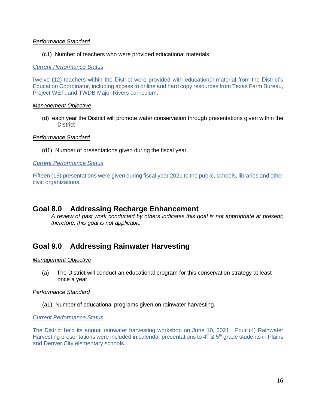#### *Performance Standard*

#### (c1) Number of teachers who were provided educational materials

#### *Current Performance Status*

 Twelve (12) teachers within the District were provided with educational material from the District's Education Coordinator, including access to online and hard copy resources from Texas Farm Bureau, Project WET, and TWDB Major Rivers curriculum.

#### *Management Objective*

(d) each year the District will promote water conservation through presentations given within the **District** 

#### *Performance Standard*

(d1) Number of presentations given during the fiscal year.

#### *Current Performance Status*

Fifteen (15) presentations were given during fiscal year 2021 to the public, schools, libraries and other civic organizations.

### **Goal 8.0 Addressing Recharge Enhancement**

*A review of past work conducted by others indicates this goal is not appropriate at present; therefore, this goal is not applicable.*

## **Goal 9.0 Addressing Rainwater Harvesting**

#### *Management Objective*

(a) The District will conduct an educational program for this conservation strategy at least once a year.

#### *Performance Standard*

(a1) Number of educational programs given on rainwater harvesting.

#### *Current Performance Status*

The District held its annual rainwater harvesting workshop on June 10, 2021. Four (4) Rainwater Harvesting presentations were included in calendar presentations to  $4<sup>th</sup>$  &  $5<sup>th</sup>$  grade students in Plains and Denver City elementary schools.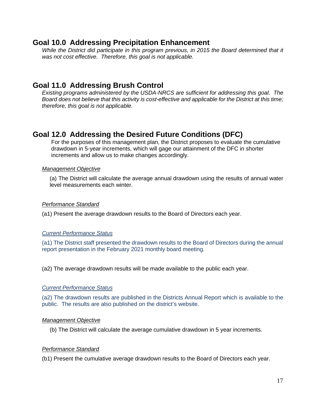## **Goal 10.0 Addressing Precipitation Enhancement**

*While the District did participate in this program previous, in 2015 the Board determined that it was not cost effective. Therefore, this goal is not applicable.*

## **Goal 11.0 Addressing Brush Control**

*Existing programs administered by the USDA-NRCS are sufficient for addressing this goal. The Board does not believe that this activity is cost-effective and applicable for the District at this time; therefore, this goal is not applicable.*

## **Goal 12.0 Addressing the Desired Future Conditions (DFC)**

For the purposes of this management plan, the District proposes to evaluate the cumulative drawdown in 5-year increments, which will gage our attainment of the DFC in shorter increments and allow us to make changes accordingly.

#### *Management Objective*

(a) The District will calculate the average annual drawdown using the results of annual water level measurements each winter.

#### *Performance Standard*

(a1) Present the average drawdown results to the Board of Directors each year.

#### *Current Performance Status*

(a1) The District staff presented the drawdown results to the Board of Directors during the annual report presentation in the February 2021 monthly board meeting.

(a2) The average drawdown results will be made available to the public each year.

#### *Current Performance Status*

(a2) The drawdown results are published in the Districts Annual Report which is available to the public. The results are also published on the district's website.

#### *Management Objective*

(b) The District will calculate the average cumulative drawdown in 5 year increments.

#### *Performance Standard*

(b1) Present the cumulative average drawdown results to the Board of Directors each year.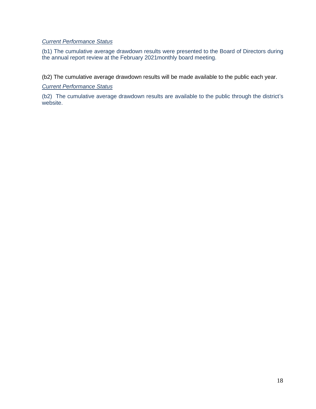### *Current Performance Status*

(b1) The cumulative average drawdown results were presented to the Board of Directors during the annual report review at the February 2021monthly board meeting.

(b2) The cumulative average drawdown results will be made available to the public each year.

#### *Current Performance Status*

(b2) The cumulative average drawdown results are available to the public through the district's website.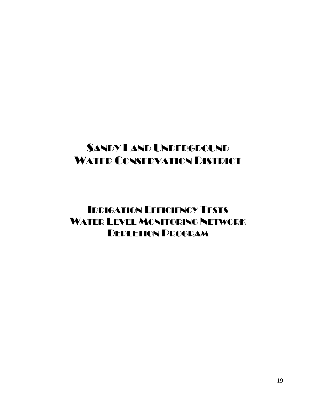## IRRIGATION EFFICIENCY TESTS WATER LEVEL MONITORING NETWORK DEPLETION PROGRAM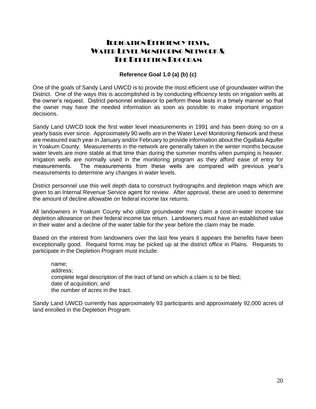### IRRIGATION EFFICIENCY TESTS, WATER LEVEL MONITORING NETWORK & THE DEDI ETION PROGRAM

#### **Reference Goal 1.0 (a) (b) (c)**

One of the goals of Sandy Land UWCD is to provide the most efficient use of groundwater within the District. One of the ways this is accomplished is by conducting efficiency tests on irrigation wells at the owner's request. District personnel endeavor to perform these tests in a timely manner so that the owner may have the needed information as soon as possible to make important irrigation decisions.

Sandy Land UWCD took the first water level measurements in 1991 and has been doing so on a yearly basis ever since. Approximately 90 wells are in the Water Level Monitoring Network and these are measured each year in January and/or February to provide information about the Ogallala Aquifer in Yoakum County. Measurements in the network are generally taken in the winter months because water levels are more stable at that time than during the summer months when pumping is heavier. Irrigation wells are normally used in the monitoring program as they afford ease of entry for measurements. The measurements from these wells are compared with previous year's measurements to determine any changes in water levels.

District personnel use this well depth data to construct hydrographs and depletion maps which are given to an Internal Revenue Service agent for review. After approval, these are used to determine the amount of decline allowable on federal income tax returns.

All landowners in Yoakum County who utilize groundwater may claim a cost-in-water income tax depletion allowance on their federal income tax return. Landowners must have an established value in their water and a decline of the water table for the year before the claim may be made.

Based on the interest from landowners over the last few years it appears the benefits have been exceptionally good. Request forms may be picked up at the district office in Plains. Requests to participate in the Depletion Program must include:

name; address; complete legal description of the tract of land on which a claim is to be filed; date of acquisition; and the number of acres in the tract.

Sandy Land UWCD currently has approximately 93 participants and approximately 92,000 acres of land enrolled in the Depletion Program.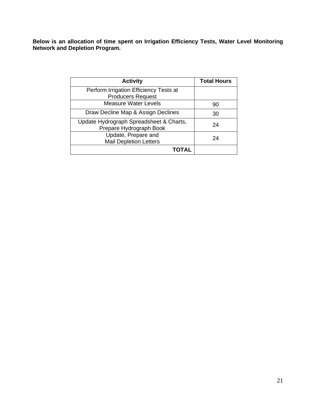**Below is an allocation of time spent on Irrigation Efficiency Tests, Water Level Monitoring Network and Depletion Program.**

| <b>Activity</b>                                                    | <b>Total Hours</b> |
|--------------------------------------------------------------------|--------------------|
| Perform Irrigation Efficiency Tests at<br><b>Producers Request</b> |                    |
| <b>Measure Water Levels</b>                                        | 90                 |
| Draw Decline Map & Assign Declines                                 | 30                 |
| Update Hydrograph Spreadsheet & Charts,<br>Prepare Hydrograph Book | 24                 |
| Update, Prepare and<br><b>Mail Depletion Letters</b>               | 24                 |
|                                                                    |                    |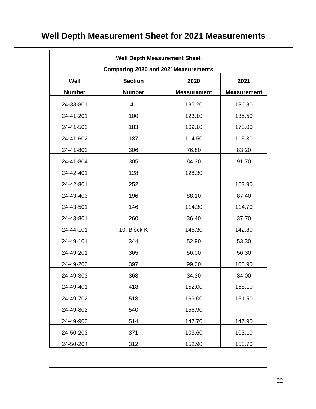## **Well Depth Measurement Sheet for 2021 Measurements**

 $\blacksquare$ 

| <b>Well Depth Measurement Sheet</b> |                                             |                    |                    |  |  |
|-------------------------------------|---------------------------------------------|--------------------|--------------------|--|--|
|                                     | <b>Comparing 2020 and 2021 Measurements</b> |                    |                    |  |  |
| Well                                | <b>Section</b><br>2020<br>2021              |                    |                    |  |  |
| <b>Number</b>                       | <b>Number</b>                               | <b>Measurement</b> | <b>Measurement</b> |  |  |
| 24-33-801                           | 41                                          | 135.20             | 136.30             |  |  |
| 24-41-201                           | 100                                         | 123.10             | 135.50             |  |  |
| 24-41-502                           | 183                                         | 169.10             | 175.00             |  |  |
| 24-41-602                           | 187                                         | 114.50             | 115.30             |  |  |
| 24-41-802                           | 306                                         | 76.80              | 83.20              |  |  |
| 24-41-804                           | 305                                         | 84.30              | 91.70              |  |  |
| 24-42-401                           | 128                                         | 128.30             |                    |  |  |
| 24-42-801                           | 252                                         |                    | 163.90             |  |  |
| 24-43-403                           | 196                                         | 88.10              | 87.40              |  |  |
| 24-43-501                           | 146                                         | 114.30             | 114.70             |  |  |
| 24-43-801                           | 260                                         | 36.40              | 37.70              |  |  |
| 24-44-101                           | 10, Block K                                 | 145.30             | 142.80             |  |  |
| 24-49-101                           | 344                                         | 52.90              | 53.30              |  |  |
| 24-49-201                           | 365                                         | 56.00              | 56.30              |  |  |
| 24-49-203                           | 397                                         | 99.00              | 108.90             |  |  |
| 24-49-303                           | 368                                         | 34.30              | 34.00              |  |  |
| 24-49-401                           | 418                                         | 152.00             | 158.10             |  |  |
| 24-49-702                           | 518                                         | 169.00             | 161.50             |  |  |
| 24-49-802                           | 540                                         | 156.90             |                    |  |  |
| 24-49-903                           | 514                                         | 147.70             | 147.90             |  |  |
| 24-50-203                           | 371                                         | 103.60             | 103.10             |  |  |
| 24-50-204                           | 312                                         | 152.90             | 153.70             |  |  |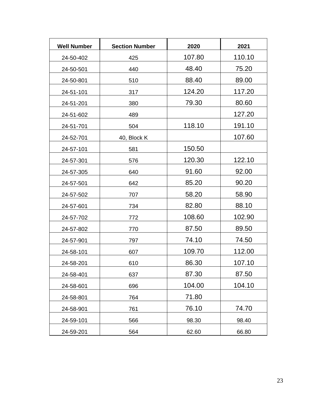| <b>Well Number</b> | <b>Section Number</b> | 2020   | 2021   |
|--------------------|-----------------------|--------|--------|
| 24-50-402          | 425                   | 107.80 | 110.10 |
| 24-50-501          | 440                   | 48.40  | 75.20  |
| 24-50-801          | 510                   | 88.40  | 89.00  |
| 24-51-101          | 317                   | 124.20 | 117.20 |
| 24-51-201          | 380                   | 79.30  | 80.60  |
| 24-51-602          | 489                   |        | 127.20 |
| 24-51-701          | 504                   | 118.10 | 191.10 |
| 24-52-701          | 40, Block K           |        | 107.60 |
| 24-57-101          | 581                   | 150.50 |        |
| 24-57-301          | 576                   | 120.30 | 122.10 |
| 24-57-305          | 640                   | 91.60  | 92.00  |
| 24-57-501          | 642                   | 85.20  | 90.20  |
| 24-57-502          | 707                   | 58.20  | 58.90  |
| 24-57-601          | 734                   | 82.80  | 88.10  |
| 24-57-702          | 772                   | 108.60 | 102.90 |
| 24-57-802          | 770                   | 87.50  | 89.50  |
| 24-57-901          | 797                   | 74.10  | 74.50  |
| 24-58-101          | 607                   | 109.70 | 112.00 |
| 24-58-201          | 610                   | 86.30  | 107.10 |
| 24-58-401          | 637                   | 87.30  | 87.50  |
| 24-58-601          | 696                   | 104.00 | 104.10 |
| 24-58-801          | 764                   | 71.80  |        |
| 24-58-901          | 761                   | 76.10  | 74.70  |
| 24-59-101          | 566                   | 98.30  | 98.40  |
| 24-59-201          | 564                   | 62.60  | 66.80  |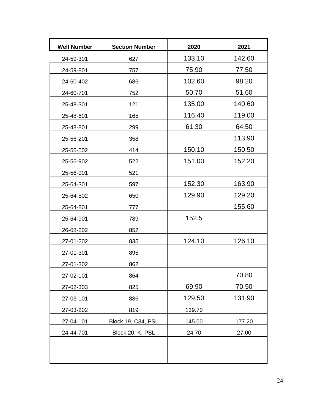| <b>Well Number</b> | <b>Section Number</b> | 2020   | 2021   |
|--------------------|-----------------------|--------|--------|
| 24-59-301          | 627                   | 133.10 | 142.60 |
| 24-59-801          | 757                   | 75.90  | 77.50  |
| 24-60-402          | 686                   | 102.60 | 98.20  |
| 24-60-701          | 752                   | 50.70  | 51.60  |
| 25-48-301          | 121                   | 135.00 | 140.60 |
| 25-48-601          | 165                   | 116.40 | 119.00 |
| 25-48-801          | 299                   | 61.30  | 64.50  |
| 25-56-201          | 358                   |        | 113.90 |
| 25-56-502          | 414                   | 150.10 | 150.50 |
| 25-56-902          | 522                   | 151.00 | 152.20 |
| 25-56-901          | 521                   |        |        |
| 25-64-301          | 597                   | 152.30 | 163.90 |
| 25-64-502          | 650                   | 129.90 | 129.20 |
| 25-64-801          | 777                   |        | 155.60 |
| 25-64-901          | 789                   | 152.5  |        |
| 26-08-202          | 852                   |        |        |
| 27-01-202          | 835                   | 124.10 | 126.10 |
| 27-01-301          | 895                   |        |        |
| 27-01-302          | 862                   |        |        |
| 27-02-101          | 864                   |        | 70.80  |
| 27-02-303          | 825                   | 69.90  | 70.50  |
| 27-03-101          | 886                   | 129.50 | 131.90 |
| 27-03-202          | 819                   | 139.70 |        |
| 27-04-101          | Block 19, C34, PSL    | 145.00 | 177.20 |
| 24-44-701          | Block 20, K, PSL      | 24.70  | 27.00  |
|                    |                       |        |        |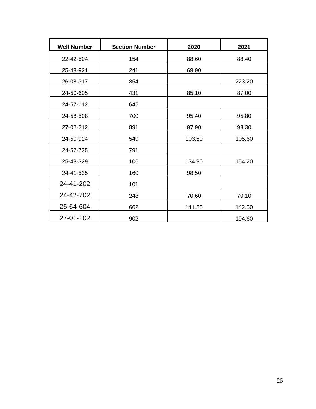| <b>Well Number</b> | <b>Section Number</b> | 2020   | 2021   |
|--------------------|-----------------------|--------|--------|
| 22-42-504          | 154                   | 88.60  | 88.40  |
| 25-48-921          | 241                   | 69.90  |        |
| 26-08-317          | 854                   |        | 223.20 |
| 24-50-605          | 431                   | 85.10  | 87.00  |
| 24-57-112          | 645                   |        |        |
| 24-58-508          | 700                   | 95.40  | 95.80  |
| 27-02-212          | 891                   | 97.90  | 98.30  |
| 24-50-924          | 549                   | 103.60 | 105.60 |
| 24-57-735          | 791                   |        |        |
| 25-48-329          | 106                   | 134.90 | 154.20 |
| 24-41-535          | 160                   | 98.50  |        |
| 24-41-202          | 101                   |        |        |
| 24-42-702          | 248                   | 70.60  | 70.10  |
| 25-64-604          | 662                   | 141.30 | 142.50 |
| 27-01-102          | 902                   |        | 194.60 |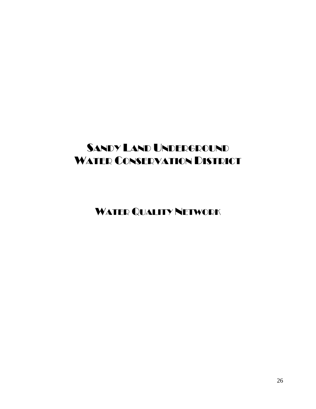WATER QUALITY NETWORK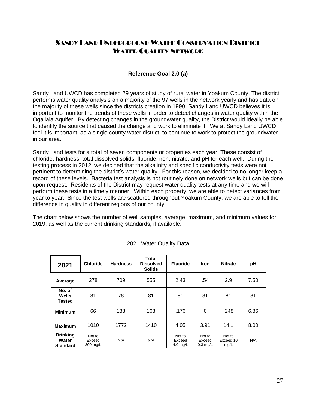## SANDY LAND UNDERGROUND WATER CONSERVATION DISTRICT WATER QUALITY NETWORK

#### **Reference Goal 2.0 (a)**

Sandy Land UWCD has completed 29 years of study of rural water in Yoakum County. The district performs water quality analysis on a majority of the 97 wells in the network yearly and has data on the majority of these wells since the districts creation in 1990. Sandy Land UWCD believes it is important to monitor the trends of these wells in order to detect changes in water quality within the Ogallala Aquifer. By detecting changes in the groundwater quality, the District would ideally be able to identify the source that caused the change and work to eliminate it. We at Sandy Land UWCD feel it is important, as a single county water district, to continue to work to protect the groundwater in our area.

Sandy Land tests for a total of seven components or properties each year. These consist of chloride, hardness, total dissolved solids, fluoride, iron, nitrate, and pH for each well. During the testing process in 2012, we decided that the alkalinity and specific conductivity tests were not pertinent to determining the district's water quality. For this reason, we decided to no longer keep a record of these levels. Bacteria test analysis is not routinely done on network wells but can be done upon request. Residents of the District may request water quality tests at any time and we will perform these tests in a timely manner. Within each property, we are able to detect variances from year to year. Since the test wells are scattered throughout Yoakum County, we are able to tell the difference in quality in different regions of our county.

The chart below shows the number of well samples, average, maximum, and minimum values for 2019, as well as the current drinking standards, if available.

| 2021                                        | <b>Chloride</b>              | <b>Hardness</b> | <b>Total</b><br><b>Dissolved</b><br><b>Solids</b> | <b>Fluoride</b>                        | <b>Iron</b>                    | <b>Nitrate</b>              | рH   |
|---------------------------------------------|------------------------------|-----------------|---------------------------------------------------|----------------------------------------|--------------------------------|-----------------------------|------|
| Average                                     | 278                          | 709             | 555                                               | 2.43                                   | .54                            | 2.9                         | 7.50 |
| No. of<br>Wells<br><b>Tested</b>            | 81                           | 78              | 81                                                | 81                                     | 81                             | 81                          | 81   |
| <b>Minimum</b>                              | 66                           | 138             | 163                                               | .176                                   | 0                              | .248                        | 6.86 |
| <b>Maximum</b>                              | 1010                         | 1772            | 1410                                              | 4.05                                   | 3.91                           | 14.1                        | 8.00 |
| <b>Drinking</b><br>Water<br><b>Standard</b> | Not to<br>Exceed<br>300 mg/L | N/A             | N/A                                               | Not to<br>Exceed<br>$4.0 \text{ mg/L}$ | Not to<br>Exceed<br>$0.3$ mg/L | Not to<br>Exceed 10<br>mg/L | N/A  |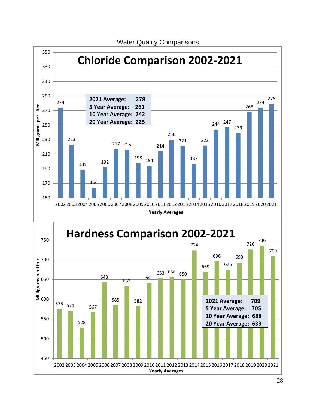

Water Quality Comparisons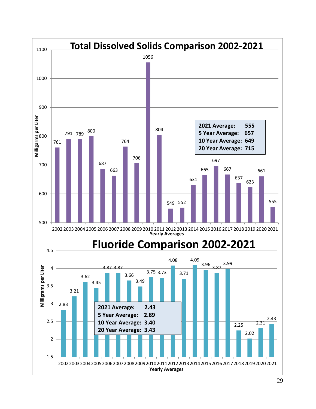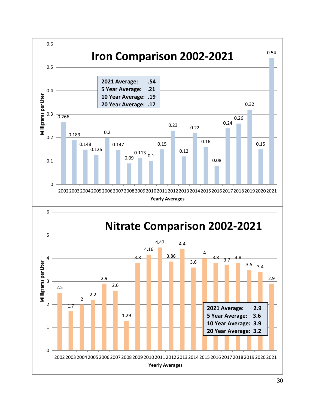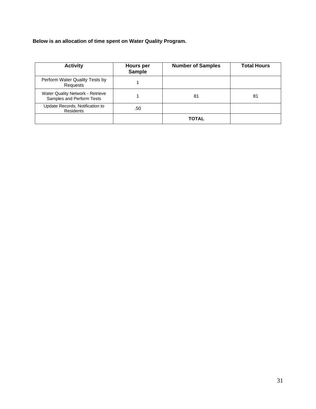**Below is an allocation of time spent on Water Quality Program.**

| <b>Activity</b>                                               | <b>Hours</b> per<br><b>Sample</b> | <b>Number of Samples</b> | <b>Total Hours</b> |
|---------------------------------------------------------------|-----------------------------------|--------------------------|--------------------|
| Perform Water Quality Tests by<br>Requests                    |                                   |                          |                    |
| Water Quality Network - Retrieve<br>Samples and Perform Tests |                                   | 81                       | 81                 |
| Update Records, Notification to<br><b>Residents</b>           | .50                               |                          |                    |
|                                                               |                                   | <b>TOTAL</b>             |                    |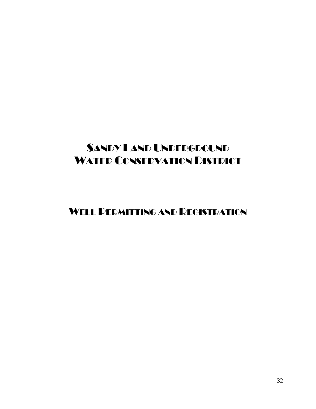WELL PERMITTING AND REGISTRATION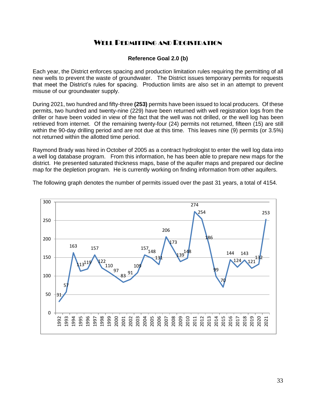### WELL PERMITTING AND REGISTRATION

#### **Reference Goal 2.0 (b)**

Each year, the District enforces spacing and production limitation rules requiring the permitting of all new wells to prevent the waste of groundwater. The District issues temporary permits for requests that meet the District's rules for spacing. Production limits are also set in an attempt to prevent misuse of our groundwater supply.

During 2021, two hundred and fifty-three **(253)** permits have been issued to local producers. Of these permits, two hundred and twenty-nine (229) have been returned with well registration logs from the driller or have been voided in view of the fact that the well was not drilled, or the well log has been retrieved from internet. Of the remaining twenty-four (24) permits not returned, fifteen (15) are still within the 90-day drilling period and are not due at this time. This leaves nine (9) permits (or 3.5%) not returned within the allotted time period.

Raymond Brady was hired in October of 2005 as a contract hydrologist to enter the well log data into a well log database program. From this information, he has been able to prepare new maps for the district. He presented saturated thickness maps, base of the aquifer maps and prepared our decline map for the depletion program. He is currently working on finding information from other aquifers.

The following graph denotes the number of permits issued over the past 31 years, a total of 4154.

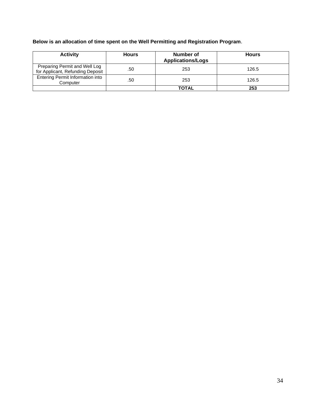**Below is an allocation of time spent on the Well Permitting and Registration Program**.

| <b>Activity</b>                                                   | <b>Hours</b> | Number of<br><b>Applications/Logs</b> | <b>Hours</b> |
|-------------------------------------------------------------------|--------------|---------------------------------------|--------------|
| Preparing Permit and Well Log<br>for Applicant, Refunding Deposit | .50          | 253                                   | 126.5        |
| Entering Permit Information into<br>Computer                      | .50          | 253                                   | 126.5        |
|                                                                   |              | <b>TOTAL</b>                          | 253          |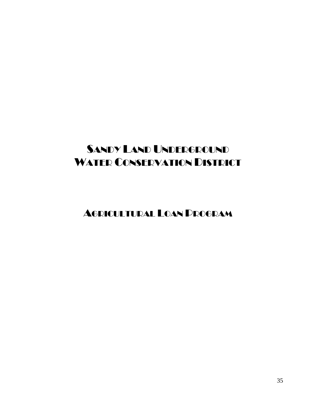AGRICULTURAL LOAN PROGRAM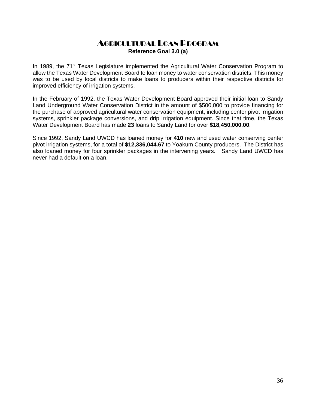### AGRICULTURAL LOAN PROGRAM **Reference Goal 3.0 (a)**

In 1989, the  $71<sup>st</sup>$  Texas Legislature implemented the Agricultural Water Conservation Program to allow the Texas Water Development Board to loan money to water conservation districts. This money was to be used by local districts to make loans to producers within their respective districts for improved efficiency of irrigation systems.

In the February of 1992, the Texas Water Development Board approved their initial loan to Sandy Land Underground Water Conservation District in the amount of \$500,000 to provide financing for the purchase of approved agricultural water conservation equipment, including center pivot irrigation systems, sprinkler package conversions, and drip irrigation equipment. Since that time, the Texas Water Development Board has made **23** loans to Sandy Land for over **\$18,450,000.00**.

Since 1992, Sandy Land UWCD has loaned money for **410** new and used water conserving center pivot irrigation systems, for a total of **\$12,336,044.67** to Yoakum County producers. The District has also loaned money for four sprinkler packages in the intervening years. Sandy Land UWCD has never had a default on a loan.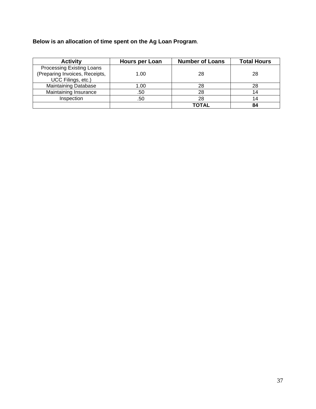**Below is an allocation of time spent on the Ag Loan Program**.

| <b>Activity</b>                                                                   | Hours per Loan | <b>Number of Loans</b> | <b>Total Hours</b> |
|-----------------------------------------------------------------------------------|----------------|------------------------|--------------------|
| Processing Existing Loans<br>(Preparing Invoices, Receipts,<br>UCC Filings, etc.) | 1.00           | 28                     | 28                 |
| <b>Maintaining Database</b>                                                       | 1.00           | 28                     | 28                 |
| Maintaining Insurance                                                             | .50            | 28                     | 14                 |
| Inspection                                                                        | .50            | 28                     | 14                 |
|                                                                                   |                | TOTAL                  |                    |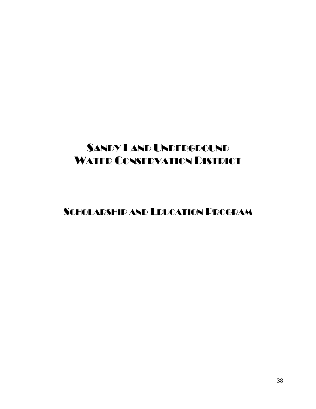SCHOLARSHIP AND EDUCATION PROGRAM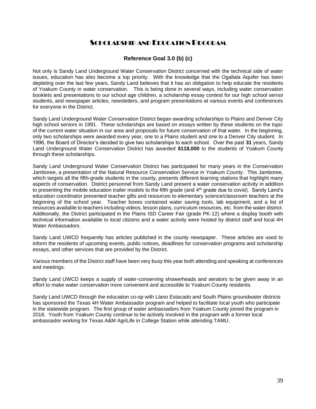### SCHOLARSHIP AND EDUCATION PROGRAM

#### **Reference Goal 3.0 (b) (c)**

Not only is Sandy Land Underground Water Conservation District concerned with the technical side of water issues, education has also become a top priority. With the knowledge that the Ogallala Aquifer has been depleting over the last few years, Sandy Land believes that it has an obligation to help educate the residents of Yoakum County in water conservation. This is being done in several ways, including water conservation booklets and presentations to our school age children, a scholarship essay contest for our high school senior students, and newspaper articles, newsletters, and program presentations at various events and conferences for everyone in the District.

Sandy Land Underground Water Conservation District began awarding scholarships to Plains and Denver City high school seniors in 1991. These scholarships are based on essays written by these students on the topic of the current water situation in our area and proposals for future conservation of that water. In the beginning, only two scholarships were awarded every year, one to a Plains student and one to a Denver City student. In 1996, the Board of Director's decided to give two scholarships to each school. Over the past **31** years, Sandy Land Underground Water Conservation District has awarded **\$118,000** to the students of Yoakum County through these scholarships.

Sandy Land Underground Water Conservation District has participated for many years in the Conservation Jamboree, a presentation of the Natural Resource Conservation Service in Yoakum County. This Jamboree, which targets all the fifth-grade students in the county, presents different learning stations that highlight many aspects of conservation. District personnel from Sandy Land present a water conservation activity in addition to presenting the mobile education trailer models to the fifth grade (and 4<sup>th</sup> grade due to covid). Sandy Land's education coordinator presented teacher gifts and resources to elementary science/classroom teachers at the beginning of the school year. Teacher boxes contained water saving tools, lab equipment, and a list of resources available to teachers including videos, lesson plans, curriculum resources, etc. from the water district. Additionally, the District participated in the Plains ISD Career Fair (grade PK-12) where a display booth with technical information available to local citizens and a water activity were hosted by district staff and local 4H Water Ambassadors.

Sandy Land UWCD frequently has articles published in the county newspaper. These articles are used to inform the residents of upcoming events, public notices, deadlines for conservation programs and scholarship essays, and other services that are provided by the District.

Various members of the District staff have been very busy this year both attending and speaking at conferences and meetings.

Sandy Land UWCD keeps a supply of water-conserving showerheads and aerators to be given away in an effort to make water conservation more convenient and accessible to Yoakum County residents.

Sandy Land UWCD through the education co-op with Llano Estacado and South Plains groundwater districts has sponsored the Texas 4H Water Ambassador program and helped to facilitate local youth who participate in the statewide program. The first group of water ambassadors from Yoakum County joined the program in 2018. Youth from Yoakum County continue to be actively involved in the program with a former local ambassador working for Texas A&M AgriLife in College Station while attending TAMU.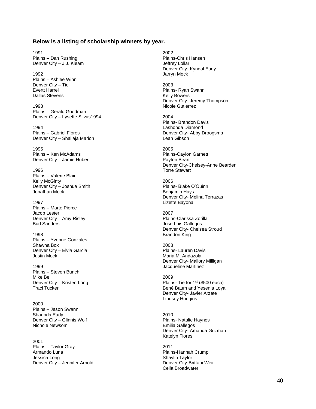#### **Below is a listing of scholarship winners by year.**

1991 2002 Plains – Dan Rushing et al. (2008)<br>
Plains – Denver City – J.J. Kleam et al. (2008)<br>
Plains-Chris Hansen and Deffrey Lollar Denver City - J.J. Kleam

1992 Jarryn Mock Plains – Ashlee Winn Denver City – Tie 2003 Dallas Stevens **Kelly Bowers Contract Bowers Kelly Bowers** 

1993 Nicole Gutierrez Plains – Gerald Goodman Denver City – Lysette Silvas1994 2004

1994 Lashonda Diamond Denver City – Shailaja Marion Leah Gibson

1995 2005 Plains – Ken McAdams **Plains** – Caylon Garnett Denver City – Jamie Huber Payton Bean

1996 Torre Stewart Plains – Valerie Blair Kelly McGinty<br>
Denver City – Joshua Smith Martin Martin Martin 2006<br>
Denver City – Joshua Smith Martin Martin Martin Plains- Blake O'Quinn Denver City – Joshua Smith<br>Jonathan Mock

1997 Lizette Bayona Plains – Marte Pierce Jacob Lester<br>
Denver City – Amy Risley<br>
Denver City – Amy Risley<br>
2007 Plains-Clarissa Zorilla Denver City – Amy Risley **Bud Sanders Contract Contract Contract Contract Contract Contract Contract Contract Contract Contract Contract Contract Contract Contract Contract Contract Contract Contract Contract Contract Contract Contract Contract Co** 

1998 Brandon King Plains – Yvonne Gonzales Shawna Box<br>
Denver City – Elvia Garcia<br>
Denver City – Elvia Garcia Denver City – Elvia Garcia<br>Justin Mock

1999 **Jacqueline Martinez** Plains – Steven Bunch Denver City – Kristen Long<br>Traci Tucker

2000 Plains – Jason Swann Shaunda Eady 2010 Denver City – Glinnis Wolf **Plains- Natalie Haynes**<br>Nichole Newsom **Plains- Natalie Haynes**<br>Frailia Gallegos

2001 Plains – Taylor Gray 2011 Armando Luna Plains-Hannah Crump<br>
Jessica Long<br>
Plains-Hannah Crump<br>
Shaylin Taylor Denver City – Jennifer Arnold Denver City-Brittani Weir

Denver City- Kyndal Eady

Evertt Harrel **Plains- Ryan Swann** Denver City- Jeremy Thompson

Plains- Brandon Davis Plains – Gabriel Flores **Denver City-Abby Droogsma** 

Denver City-Chelsey-Anne Bearden

Benjamin Hays Denver City- Melina Terrazas

Denver City- Chelsea Stroud

Maria M. Andazola Denver City- Mallory Milligan

Mike Bell<br>Denver City – Kristen Long (2009) Plains- Tie for 1<sup>st</sup> (\$500 each) Bené Baum and Yesenia Loya Denver City- Javier Arzate Lindsey Hudgins

> Emilia Gallegos Denver City- Amanda Guzman Katelyn Flores

Shaylin Taylor Celia Broadwater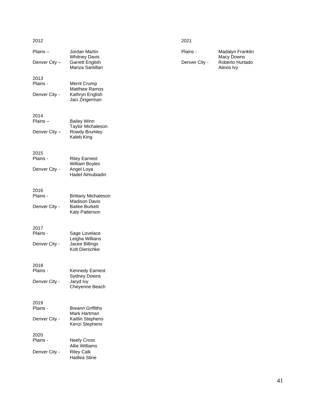| 2012               |                                            | 2021          |                                |
|--------------------|--------------------------------------------|---------------|--------------------------------|
| Plains-            | Jordan Martin<br><b>Whitney Davis</b>      | Plains -      | Madalyn Franklin<br>Macy Downs |
| Denver City -      | <b>Garrett English</b><br>Mariza Santillan | Denver City - | Roberto Hurtado<br>Alexis Ivy  |
| 2013<br>Plains -   | Merrit Crump                               |               |                                |
| Denver City -      | <b>Matthew Ramos</b><br>Kathryn English    |               |                                |
|                    | Jaci Zingerman                             |               |                                |
| 2014<br>$Plains -$ | <b>Bailey Winn</b>                         |               |                                |
| Denver City -      | <b>Taylor Michaleson</b><br>Rowdy Brumley  |               |                                |
|                    | Kaleb King                                 |               |                                |
| 2015<br>Plains -   | <b>Riley Earnest</b>                       |               |                                |
| Denver City -      | William Boyles                             |               |                                |
|                    | Angel Loya<br>Hadel Almubiadin             |               |                                |
| 2016<br>Plains -   | <b>Brittany Michaleson</b>                 |               |                                |
|                    | <b>Madison Davis</b>                       |               |                                |
| Denver City -      | <b>Bailee Burkett</b><br>Katy Patterson    |               |                                |
| 2017               |                                            |               |                                |
| Plains -           | Sage Lovelace<br>Leigha Willians           |               |                                |
| Denver City -      | Jacee Billings<br>Kolt Dierschke           |               |                                |
| 2018               |                                            |               |                                |
| Plains -           | Kennedy Earnest<br><b>Sydney Downs</b>     |               |                                |
| Denver City -      | Jaryd Ivy<br>Cheyenne Beach                |               |                                |
| 2019               | <b>Breann Griffiths</b>                    |               |                                |
| Plains -           | Mark Hartman                               |               |                                |
| Denver City -      | Kaitlin Stephens<br>Kenzi Stephens         |               |                                |
| 2020<br>Plains -   | <b>Neely Cross</b>                         |               |                                |
|                    | Allie Williams                             |               |                                |
| Denver City -      | <b>Riley Calk</b><br>Hadlea Stine          |               |                                |